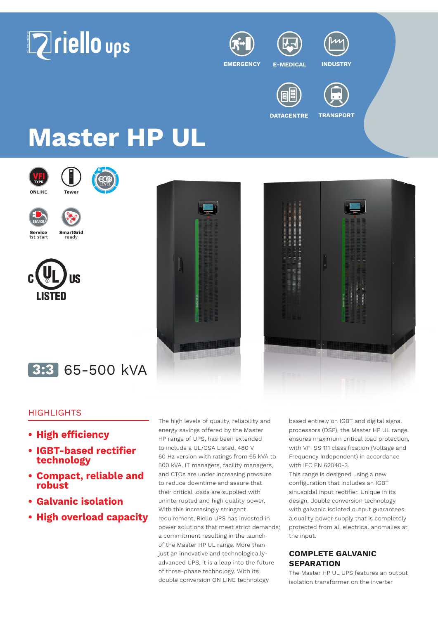



**EMERGENCY E-MEDICAL INDUSTRY**



**DATACENTRE TRANSPORT**

# **Master HP UL**









**Service**<br>1st start **Service SmartGrid**<br>1st start ready







## **3:3** 65-500 kVA

### **HIGHLIGHTS**

- **• High efficiency**
- **• IGBT-based rectifier technology**
- **• Compact, reliable and robust**
- **• Galvanic isolation**
- **• High overload capacity**

The high levels of quality, reliability and energy savings offered by the Master HP range of UPS, has been extended to include a UL/CSA Listed, 480 V 60 Hz version with ratings from 65 kVA to 500 kVA. IT managers, facility managers, and CTOs are under increasing pressure to reduce downtime and assure that their critical loads are supplied with uninterrupted and high quality power. With this increasingly stringent requirement, Riello UPS has invested in power solutions that meet strict demands; a commitment resulting in the launch of the Master HP UL range. More than just an innovative and technologicallyadvanced UPS, it is a leap into the future of three-phase technology. With its double conversion ON LINE technology

based entirely on IGBT and digital signal processors (DSP), the Master HP UL range ensures maximum critical load protection, with VFI SS 111 classification (Voltage and Frequency Independent) in accordance with IEC EN 62040-3.

This range is designed using a new configuration that includes an IGBT sinusoidal input rectifier. Unique in its design, double conversion technology with galvanic isolated output guarantees a quality power supply that is completely protected from all electrical anomalies at the input.

#### **COMPLETE GALVANIC SEPARATION**

The Master HP UL UPS features an output isolation transformer on the inverter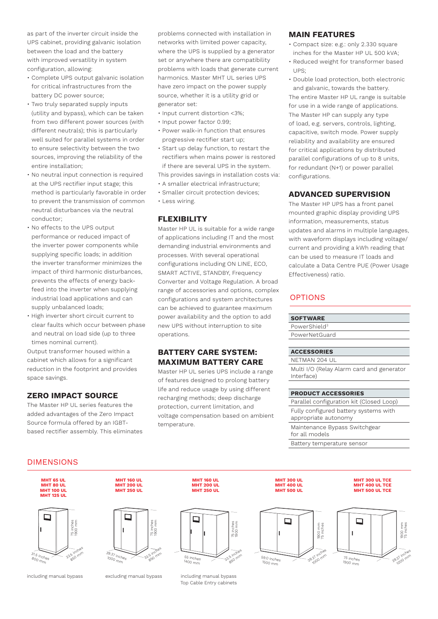as part of the inverter circuit inside the UPS cabinet, providing galvanic isolation between the load and the battery with improved versatility in system configuration, allowing:

- Complete UPS output galvanic isolation for critical infrastructures from the battery DC power source;
- Two truly separated supply inputs (utility and bypass), which can be taken from two different power sources (with different neutrals); this is particularly well suited for parallel systems in order to ensure selectivity between the two sources, improving the reliability of the entire installation;
- No neutral input connection is required at the UPS rectifier input stage; this method is particularly favorable in order to prevent the transmission of common neutral disturbances via the neutral conductor;
- No effects to the UPS output performance or reduced impact of the inverter power components while supplying specific loads; in addition the inverter transformer minimizes the impact of third harmonic disturbances, prevents the effects of energy backfeed into the inverter when supplying industrial load applications and can supply unbalanced loads;
- High inverter short circuit current to clear faults which occur between phase and neutral on load side (up to three times nominal current).

Output transformer housed within a cabinet which allows for a significant reduction in the footprint and provides space savings.

#### **ZERO IMPACT SOURCE**

The Master HP UL series features the added advantages of the Zero Impact Source formula offered by an IGBTbased rectifier assembly. This eliminates problems connected with installation in networks with limited power capacity, where the UPS is supplied by a generator set or anywhere there are compatibility problems with loads that generate current harmonics. Master MHT UL series UPS have zero impact on the power supply source, whether it is a utility grid or generator set:

- Input current distortion <3%;
- Input power factor 0.99;
- Power walk-in function that ensures progressive rectifier start up;
- Start up delay function, to restart the rectifiers when mains power is restored if there are several UPS in the system.

This provides savings in installation costs via: • A smaller electrical infrastructure;

- Smaller circuit protection devices;
- Less wiring.

#### **FLEXIBILITY**

Master HP UL is suitable for a wide range of applications including IT and the most demanding industrial environments and processes. With several operational configurations including ON LINE, ECO, SMART ACTIVE, STANDBY, Frequency Converter and Voltage Regulation. A broad range of accessories and options, complex configurations and system architectures can be achieved to guarantee maximum power availability and the option to add new UPS without interruption to site operations.

#### **BATTERY CARE SYSTEM: MAXIMUM BATTERY CARE**

Master HP UL series UPS include a range of features designed to prolong battery life and reduce usage by using different recharging methods; deep discharge protection, current limitation, and voltage compensation based on ambient temperature.

#### **MAIN FEATURES**

- Compact size: e.g.: only 2.330 square inches for the Master HP UL 500 kVA;
- Reduced weight for transformer based UPS;
- Double load protection, both electronic and galvanic, towards the battery.

The entire Master HP UL range is suitable for use in a wide range of applications. The Master HP can supply any type of load, e.g. servers, controls, lighting, capacitive, switch mode. Power supply reliability and availability are ensured for critical applications by distributed parallel configurations of up to 8 units, for redundant (N+1) or power parallel configurations.

#### **ADVANCED SUPERVISION**

The Master HP UPS has a front panel mounted graphic display providing UPS information, measurements, status updates and alarms in multiple languages, with waveform displays including voltage/ current and providing a kWh reading that can be used to measure IT loads and calculate a Data Centre PUE (Power Usage Effectiveness) ratio.

#### OPTIONS

#### **SOFTWARE**

PowerShield<sup>3</sup> PowerNetGuard

#### **ACCESSORIES**

#### NETMAN 204 UL

Multi I/O (Relay Alarm card and generator Interface)

#### **PRODUCT ACCESSORIES**

Parallel configuration kit (Closed Loop) Fully configured battery systems with appropriate autonomy

> **MHT 300 UL TCE MHT 400 UL TCE MHT 500 UL TCE**

Maintenance Bypass Switchgear for all models

Battery temperature sensor

**MHT 300 UL MHT 400 UL MHT 500 UL**

#### DIMENSIONS





**MHT 160 UL MHT 200 UL MHT 250 UL**

1900 mm

including manual bypass excluding manual bypass including manual bypass Top Cable Entry cabinets

-33.5 inches

850 mm 75 inches 1900 mm

55 inches<br><sup>1400</sup> mm

**MHT 160 UL MHT 200 UL MHT 250 UL**

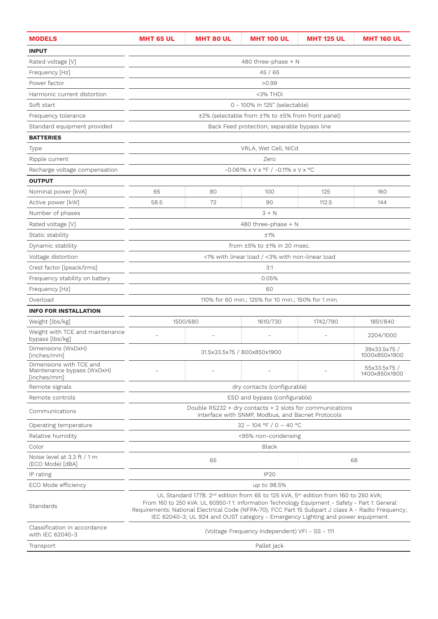| <b>MODELS</b>                                                        | <b>MHT 65 UL</b>                                                                                   | <b>MHT 80 UL</b>                                                                                                                                                                                                                                                                                                                                                                                                                                                                                                                                                                                                                                                                                                                                     | <b>MHT 100 UL</b> | <b>MHT 125 UL</b> | <b>MHT 160 UL</b> |  |  |
|----------------------------------------------------------------------|----------------------------------------------------------------------------------------------------|------------------------------------------------------------------------------------------------------------------------------------------------------------------------------------------------------------------------------------------------------------------------------------------------------------------------------------------------------------------------------------------------------------------------------------------------------------------------------------------------------------------------------------------------------------------------------------------------------------------------------------------------------------------------------------------------------------------------------------------------------|-------------------|-------------------|-------------------|--|--|
| <b>INPUT</b>                                                         |                                                                                                    |                                                                                                                                                                                                                                                                                                                                                                                                                                                                                                                                                                                                                                                                                                                                                      |                   |                   |                   |  |  |
| Rated voltage [V]                                                    | 480 three-phase + N<br>45 / 65<br>>0.99                                                            |                                                                                                                                                                                                                                                                                                                                                                                                                                                                                                                                                                                                                                                                                                                                                      |                   |                   |                   |  |  |
| Frequency [Hz]                                                       |                                                                                                    | <3% THDi<br>0 - 100% in 125" (selectable)<br>±2% (selectable from ±1% to ±5% from front panel)<br>Back Feed protection; separable bypass line<br>VRLA, Wet Cell, NiCd<br>Zero<br>$-0.061\% \times V \times P$ / $-0.11\% \times V \times P$ C<br>65<br>100<br>125<br>160<br>80<br>58.5<br>72<br>90<br>112.5<br>144<br>$3 + N$<br>480 three-phase + N<br>±1%<br>from $\pm 5\%$ to $\pm 1\%$ in 20 msec.<br><1% with linear load / <3% with non-linear load                                                                                                                                                                                                                                                                                            |                   |                   |                   |  |  |
| Power factor                                                         |                                                                                                    |                                                                                                                                                                                                                                                                                                                                                                                                                                                                                                                                                                                                                                                                                                                                                      |                   |                   |                   |  |  |
| Harmonic current distortion                                          |                                                                                                    |                                                                                                                                                                                                                                                                                                                                                                                                                                                                                                                                                                                                                                                                                                                                                      |                   |                   |                   |  |  |
| Soft start                                                           |                                                                                                    |                                                                                                                                                                                                                                                                                                                                                                                                                                                                                                                                                                                                                                                                                                                                                      |                   |                   |                   |  |  |
| Frequency tolerance                                                  |                                                                                                    |                                                                                                                                                                                                                                                                                                                                                                                                                                                                                                                                                                                                                                                                                                                                                      |                   |                   |                   |  |  |
| Standard equipment provided                                          |                                                                                                    |                                                                                                                                                                                                                                                                                                                                                                                                                                                                                                                                                                                                                                                                                                                                                      |                   |                   |                   |  |  |
| <b>BATTERIES</b>                                                     |                                                                                                    |                                                                                                                                                                                                                                                                                                                                                                                                                                                                                                                                                                                                                                                                                                                                                      |                   |                   |                   |  |  |
| Type                                                                 |                                                                                                    |                                                                                                                                                                                                                                                                                                                                                                                                                                                                                                                                                                                                                                                                                                                                                      |                   |                   |                   |  |  |
| Ripple current                                                       |                                                                                                    |                                                                                                                                                                                                                                                                                                                                                                                                                                                                                                                                                                                                                                                                                                                                                      |                   |                   |                   |  |  |
| Recharge voltage compensation                                        |                                                                                                    |                                                                                                                                                                                                                                                                                                                                                                                                                                                                                                                                                                                                                                                                                                                                                      |                   |                   |                   |  |  |
| <b>OUTPUT</b>                                                        |                                                                                                    |                                                                                                                                                                                                                                                                                                                                                                                                                                                                                                                                                                                                                                                                                                                                                      |                   |                   |                   |  |  |
| Nominal power [kVA]                                                  |                                                                                                    |                                                                                                                                                                                                                                                                                                                                                                                                                                                                                                                                                                                                                                                                                                                                                      |                   |                   |                   |  |  |
| Active power [kW]                                                    |                                                                                                    |                                                                                                                                                                                                                                                                                                                                                                                                                                                                                                                                                                                                                                                                                                                                                      |                   |                   |                   |  |  |
| Number of phases                                                     |                                                                                                    |                                                                                                                                                                                                                                                                                                                                                                                                                                                                                                                                                                                                                                                                                                                                                      |                   |                   |                   |  |  |
| Rated voltage [V]                                                    |                                                                                                    |                                                                                                                                                                                                                                                                                                                                                                                                                                                                                                                                                                                                                                                                                                                                                      |                   |                   |                   |  |  |
| Static stability                                                     | 3:1<br>0.05%<br>60<br>110% for 60 min.; 125% for 10 min.; 150% for 1 min.                          |                                                                                                                                                                                                                                                                                                                                                                                                                                                                                                                                                                                                                                                                                                                                                      |                   |                   |                   |  |  |
| Dynamic stability                                                    |                                                                                                    |                                                                                                                                                                                                                                                                                                                                                                                                                                                                                                                                                                                                                                                                                                                                                      |                   |                   |                   |  |  |
| Voltage distortion                                                   |                                                                                                    | 1500/680<br>1610/730<br>1742/790<br>1851/840<br>2204/1000<br>39x33.5x75 /<br>31.5x33.5x75 / 800x850x1900<br>1000x850x1900<br>55x33.5x75 /<br>1400x850x1900<br>dry contacts (configurable)<br>ESD and bypass (configurable)<br>Double RS232 + dry contacts + 2 slots for communications<br>interface with SNMP, Modbus, and Bacnet Protocols<br>$32 - 104$ °F / 0 - 40 °C<br><95% non-condensing<br>Black<br>65<br>68<br><b>IP20</b><br>up to 98.5%<br>UL Standard 1778: 2 <sup>nd</sup> edition from 65 to 125 kVA, 5 <sup>th</sup> edition from 160 to 250 kVA;<br>From 160 to 250 kVA: UL 60950-1 1: Information Technology Equipment - Safety - Part 1: General<br>IEC 62040-3; UL 924 and OUST category - Emergency Lighting and power equipment |                   |                   |                   |  |  |
| Crest factor [lpeack/lrms]                                           |                                                                                                    |                                                                                                                                                                                                                                                                                                                                                                                                                                                                                                                                                                                                                                                                                                                                                      |                   |                   |                   |  |  |
| Frequency stability on battery                                       |                                                                                                    |                                                                                                                                                                                                                                                                                                                                                                                                                                                                                                                                                                                                                                                                                                                                                      |                   |                   |                   |  |  |
| Frequency [Hz]                                                       |                                                                                                    |                                                                                                                                                                                                                                                                                                                                                                                                                                                                                                                                                                                                                                                                                                                                                      |                   |                   |                   |  |  |
| Overload                                                             |                                                                                                    |                                                                                                                                                                                                                                                                                                                                                                                                                                                                                                                                                                                                                                                                                                                                                      |                   |                   |                   |  |  |
| <b>INFO FOR INSTALLATION</b>                                         |                                                                                                    |                                                                                                                                                                                                                                                                                                                                                                                                                                                                                                                                                                                                                                                                                                                                                      |                   |                   |                   |  |  |
| Weight [lbs/kg]                                                      |                                                                                                    |                                                                                                                                                                                                                                                                                                                                                                                                                                                                                                                                                                                                                                                                                                                                                      |                   |                   |                   |  |  |
| Weight with TCE and maintenance<br>bypass [lbs/kg]                   |                                                                                                    |                                                                                                                                                                                                                                                                                                                                                                                                                                                                                                                                                                                                                                                                                                                                                      |                   |                   |                   |  |  |
| Dimensions (WxDxH)<br>[inches/mm]                                    |                                                                                                    |                                                                                                                                                                                                                                                                                                                                                                                                                                                                                                                                                                                                                                                                                                                                                      |                   |                   |                   |  |  |
| Dimensions with TCE and<br>Maintenance bypass (WxDxH)<br>[inches/mm] |                                                                                                    |                                                                                                                                                                                                                                                                                                                                                                                                                                                                                                                                                                                                                                                                                                                                                      |                   |                   |                   |  |  |
| Remote signals                                                       |                                                                                                    |                                                                                                                                                                                                                                                                                                                                                                                                                                                                                                                                                                                                                                                                                                                                                      |                   |                   |                   |  |  |
| Remote controls                                                      |                                                                                                    |                                                                                                                                                                                                                                                                                                                                                                                                                                                                                                                                                                                                                                                                                                                                                      |                   |                   |                   |  |  |
| Communications                                                       |                                                                                                    |                                                                                                                                                                                                                                                                                                                                                                                                                                                                                                                                                                                                                                                                                                                                                      |                   |                   |                   |  |  |
| Operating temperature                                                |                                                                                                    |                                                                                                                                                                                                                                                                                                                                                                                                                                                                                                                                                                                                                                                                                                                                                      |                   |                   |                   |  |  |
| Relative humidity                                                    |                                                                                                    |                                                                                                                                                                                                                                                                                                                                                                                                                                                                                                                                                                                                                                                                                                                                                      |                   |                   |                   |  |  |
| Color                                                                |                                                                                                    |                                                                                                                                                                                                                                                                                                                                                                                                                                                                                                                                                                                                                                                                                                                                                      |                   |                   |                   |  |  |
| Noise level at 3.3 ft / 1 m<br>(ECO Mode) [dBA]                      |                                                                                                    |                                                                                                                                                                                                                                                                                                                                                                                                                                                                                                                                                                                                                                                                                                                                                      |                   |                   |                   |  |  |
| IP rating                                                            |                                                                                                    |                                                                                                                                                                                                                                                                                                                                                                                                                                                                                                                                                                                                                                                                                                                                                      |                   |                   |                   |  |  |
| ECO Mode efficiency                                                  |                                                                                                    |                                                                                                                                                                                                                                                                                                                                                                                                                                                                                                                                                                                                                                                                                                                                                      |                   |                   |                   |  |  |
| Standards                                                            | Requirements; National Electrical Code (NFPA-70); FCC Part 15 Subpart J class A - Radio Frequency; |                                                                                                                                                                                                                                                                                                                                                                                                                                                                                                                                                                                                                                                                                                                                                      |                   |                   |                   |  |  |
| Classification in accordance<br>with IEC 62040-3                     | (Voltage Frequency Independent) VFI - SS - 111                                                     |                                                                                                                                                                                                                                                                                                                                                                                                                                                                                                                                                                                                                                                                                                                                                      |                   |                   |                   |  |  |
| Transport                                                            | Pallet jack                                                                                        |                                                                                                                                                                                                                                                                                                                                                                                                                                                                                                                                                                                                                                                                                                                                                      |                   |                   |                   |  |  |